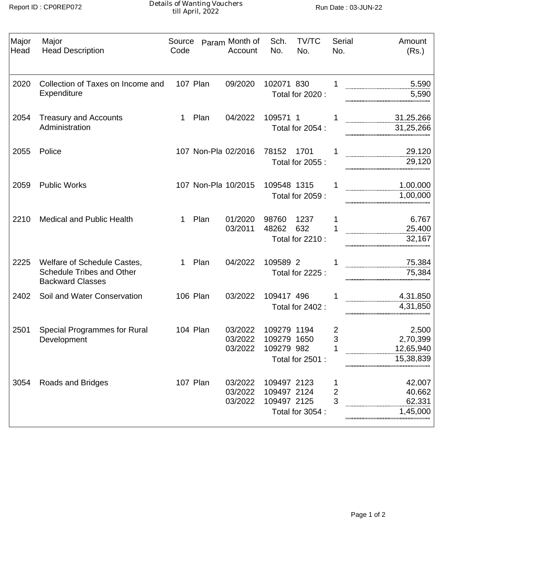Details of Wanting Vouchers till April, 2022 Report ID : CP0REP072 Run Date : 03-JUN-22

| Major<br>Head | Major<br><b>Head Description</b>                                                           | Source<br>Code |                 | Param Month of<br>Account     | Sch.<br>No.                               | TV/TC<br>No.                    | Serial<br>No.                | Amount<br>(Rs.)                             |
|---------------|--------------------------------------------------------------------------------------------|----------------|-----------------|-------------------------------|-------------------------------------------|---------------------------------|------------------------------|---------------------------------------------|
| 2020          | Collection of Taxes on Income and<br>Expenditure                                           |                | 107 Plan        | 09/2020                       | 102071 830                                | Total for 2020 :                |                              | 5.590<br>5,590                              |
| 2054          | <b>Treasury and Accounts</b><br>Administration                                             | 1.             | Plan            | 04/2022                       | 109571 1                                  | Total for 2054 :                |                              | 31.25.266<br>31,25,266                      |
| 2055          | Police                                                                                     |                |                 | 107 Non-Pla 02/2016           | 78152                                     | 1701<br>Total for 2055 :        |                              | 29.120<br>29,120                            |
| 2059          | <b>Public Works</b>                                                                        |                |                 | 107 Non-Pla 10/2015           | 109548 1315                               | Total for 2059 :                |                              | 1.00.000<br>1,00,000                        |
| 2210          | <b>Medical and Public Health</b>                                                           | 1.             | Plan            | 01/2020<br>03/2011            | 98760<br>48262                            | 1237<br>632<br>Total for 2210 : |                              | 6.767<br>25.400<br>32,167                   |
| 2225          | Welfare of Schedule Castes,<br><b>Schedule Tribes and Other</b><br><b>Backward Classes</b> | 1              | Plan            | 04/2022                       | 109589 2                                  | Total for 2225 :                |                              | 75.384<br>75,384                            |
| 2402          | Soil and Water Conservation                                                                |                | <b>106 Plan</b> | 03/2022                       | 109417 496                                | Total for 2402 :                |                              | 4.31.850<br>4,31,850                        |
| 2501          | <b>Special Programmes for Rural</b><br>Development                                         |                | 104 Plan        | 03/2022<br>03/2022<br>03/2022 | 109279 1194<br>109279 1650<br>109279 982  | Total for 2501 :                | 2<br>3                       | 2.500<br>2.70.399<br>12.65.940<br>15,38,839 |
| 3054          | Roads and Bridges                                                                          |                | 107 Plan        | 03/2022<br>03/2022<br>03/2022 | 109497 2123<br>109497 2124<br>109497 2125 | Total for 3054 :                | $\overline{\mathbf{c}}$<br>3 | 42.007<br>40.662<br>62.331<br>1,45,000      |